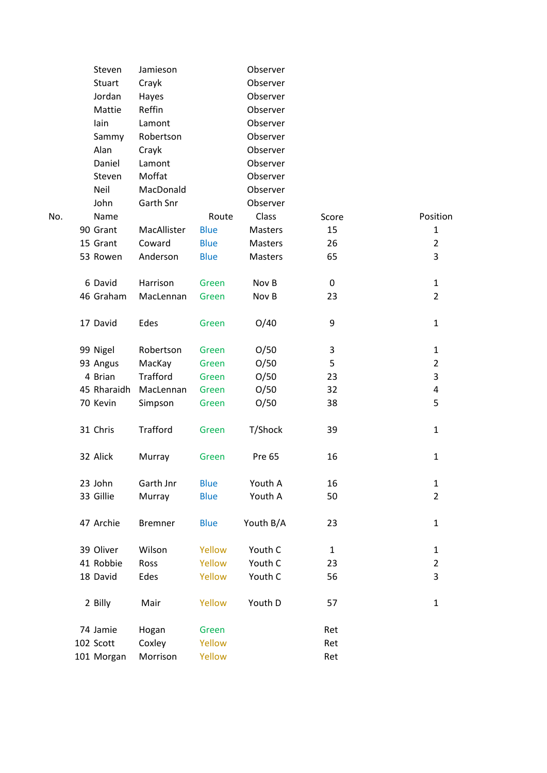|     | Steven        | Jamieson        |             | Observer       |              |                |
|-----|---------------|-----------------|-------------|----------------|--------------|----------------|
|     | <b>Stuart</b> | Crayk           |             | Observer       |              |                |
|     | Jordan        | Hayes           |             | Observer       |              |                |
|     | Mattie        | Reffin          |             | Observer       |              |                |
|     | lain          | Lamont          |             | Observer       |              |                |
|     | Sammy         | Robertson       |             | Observer       |              |                |
|     | Alan          | Crayk           |             | Observer       |              |                |
|     | Daniel        | Lamont          |             | Observer       |              |                |
|     | Steven        | Moffat          |             | Observer       |              |                |
|     | Neil          | MacDonald       |             | Observer       |              |                |
|     | John          | Garth Snr       |             | Observer       |              |                |
| No. | Name          |                 | Route       | Class          | Score        | Position       |
|     | 90 Grant      | MacAllister     | <b>Blue</b> | Masters        | 15           | $\mathbf{1}$   |
|     | 15 Grant      | Coward          | <b>Blue</b> | Masters        | 26           | $\overline{2}$ |
|     | 53 Rowen      | Anderson        | <b>Blue</b> | <b>Masters</b> | 65           | 3              |
|     | 6 David       | Harrison        | Green       | Nov B          | 0            | $\mathbf{1}$   |
|     | 46 Graham     | MacLennan       | Green       | Nov B          | 23           | $\overline{2}$ |
|     | 17 David      | Edes            | Green       | O/40           | 9            | $\mathbf{1}$   |
|     | 99 Nigel      | Robertson       | Green       | O/50           | 3            | $\mathbf{1}$   |
|     | 93 Angus      | MacKay          | Green       | O/50           | 5            | $\overline{2}$ |
|     | 4 Brian       | <b>Trafford</b> | Green       | O/50           | 23           | 3              |
|     | 45 Rharaidh   | MacLennan       | Green       | O/50           | 32           | 4              |
|     | 70 Kevin      | Simpson         | Green       | O/50           | 38           | 5              |
|     | 31 Chris      | Trafford        | Green       | T/Shock        | 39           | 1              |
|     | 32 Alick      | Murray          | Green       | Pre 65         | 16           | $\mathbf{1}$   |
|     | 23 John       | Garth Jnr       | <b>Blue</b> | Youth A        | 16           | $\mathbf{1}$   |
|     | 33 Gillie     | Murray          | <b>Blue</b> | Youth A        | 50           | $\overline{2}$ |
|     | 47 Archie     | <b>Bremner</b>  | <b>Blue</b> | Youth B/A      | 23           | $\mathbf{1}$   |
|     | 39 Oliver     | Wilson          | Yellow      | Youth C        | $\mathbf{1}$ | $\mathbf{1}$   |
|     | 41 Robbie     | Ross            | Yellow      | Youth C        | 23           | 2              |
|     | 18 David      | Edes            | Yellow      | Youth C        | 56           | 3              |
|     | 2 Billy       | Mair            | Yellow      | Youth D        | 57           | $\mathbf{1}$   |
|     | 74 Jamie      | Hogan           | Green       |                | Ret          |                |
|     | 102 Scott     | Coxley          | Yellow      |                | Ret          |                |
|     | 101 Morgan    | Morrison        | Yellow      |                | Ret          |                |
|     |               |                 |             |                |              |                |